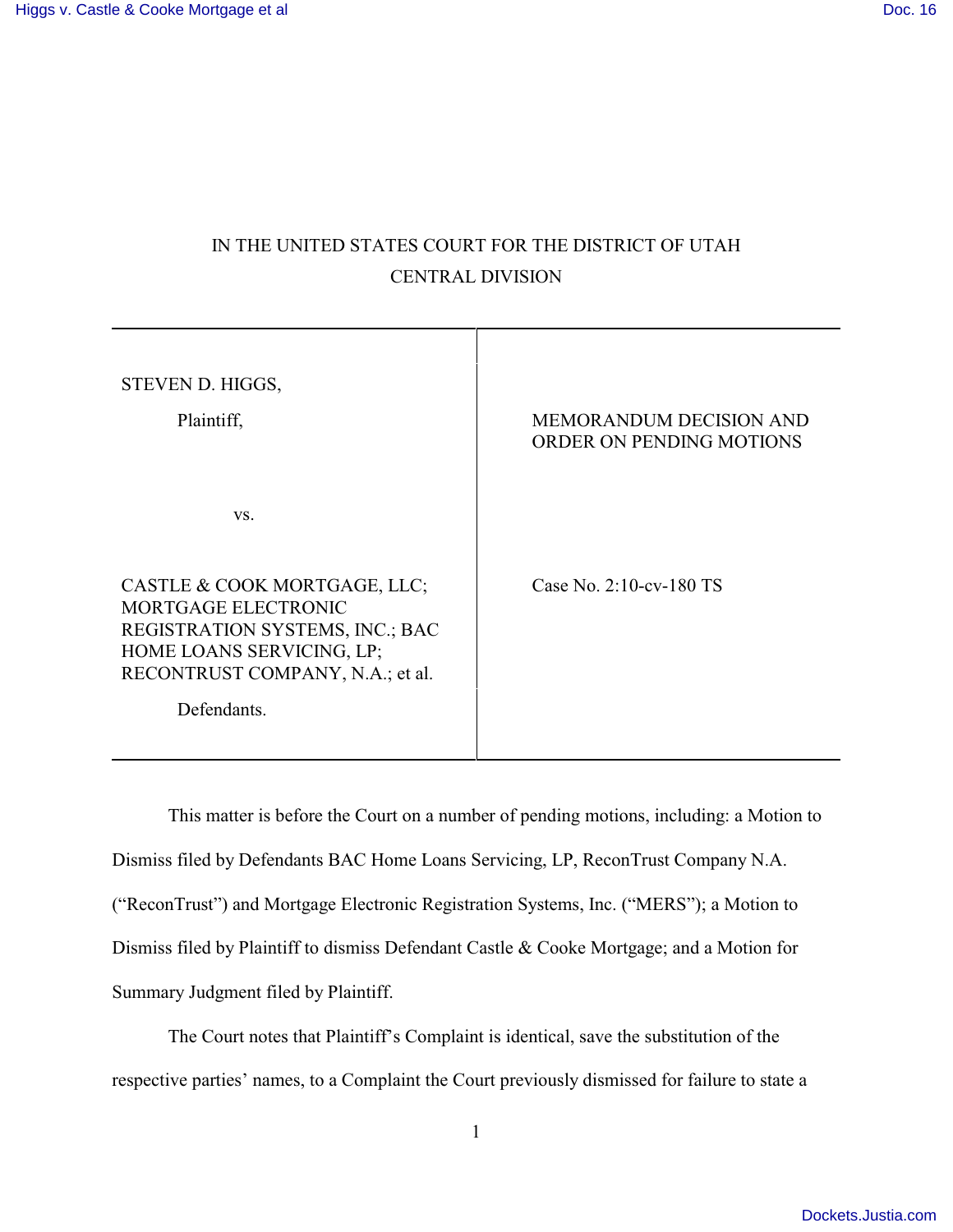## IN THE UNITED STATES COURT FOR THE DISTRICT OF UTAH CENTRAL DIVISION

| STEVEN D. HIGGS,<br>Plaintiff,                                                                                                                                         | <b>MEMORANDUM DECISION AND</b><br>ORDER ON PENDING MOTIONS |
|------------------------------------------------------------------------------------------------------------------------------------------------------------------------|------------------------------------------------------------|
| VS.                                                                                                                                                                    |                                                            |
| CASTLE & COOK MORTGAGE, LLC;<br>MORTGAGE ELECTRONIC<br>REGISTRATION SYSTEMS, INC.; BAC<br>HOME LOANS SERVICING, LP;<br>RECONTRUST COMPANY, N.A.; et al.<br>Defendants. | Case No. $2:10$ -cv-180 TS                                 |
|                                                                                                                                                                        |                                                            |

This matter is before the Court on a number of pending motions, including: a Motion to Dismiss filed by Defendants BAC Home Loans Servicing, LP, ReconTrust Company N.A. ("ReconTrust") and Mortgage Electronic Registration Systems, Inc. ("MERS"); a Motion to Dismiss filed by Plaintiff to dismiss Defendant Castle & Cooke Mortgage; and a Motion for Summary Judgment filed by Plaintiff.

The Court notes that Plaintiff's Complaint is identical, save the substitution of the respective parties' names, to a Complaint the Court previously dismissed for failure to state a